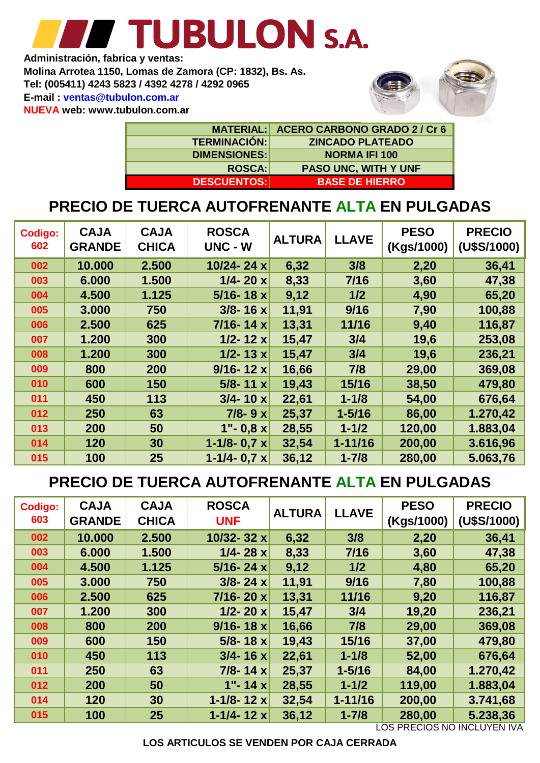# TUBULON S.A. **Administración, fabrica y ventas:**

**NUEVA web: www.tubulon.com.ar E-mail : ventas@tubulon.com.ar Tel: (005411) 4243 5823 / 4392 4278 / 4292 0965 Molina Arrotea 1150, Lomas de Zamora (CP: 1832), Bs. As.**



|                     | MATERIAL: ACERO CARBONO GRADO 2/Cr 6 |
|---------------------|--------------------------------------|
| <b>TERMINACIÓN:</b> | <b>ZINCADO PLATEADO</b>              |
| <b>DIMENSIONES:</b> | <b>NORMA IFI 100</b>                 |
| <b>ROSCA:</b>       | <b>PASO UNC, WITH Y UNF</b>          |
| <b>DESCUENTOS:</b>  | <b>BASE DE HIERRO</b>                |

#### **PRECIO DE TUERCA AUTOFRENANTE ALTA EN PULGADAS**

| <b>Codigo:</b><br>602 | <b>CAJA</b><br><b>GRANDE</b> | <b>CAJA</b><br><b>CHICA</b> | <b>ROSCA</b><br><b>UNC - W</b> | <b>ALTURA</b> | <b>LLAVE</b> | <b>PESO</b><br>(Kgs/1000) | <b>PRECIO</b><br>(U\$S/1000) |
|-----------------------|------------------------------|-----------------------------|--------------------------------|---------------|--------------|---------------------------|------------------------------|
| 002                   | 10.000                       | 2.500                       | 10/24-24 $x$                   | 6,32          | 3/8          | 2,20                      | 36,41                        |
| 003                   | 6.000                        | 1.500                       | $1/4 - 20 x$                   | 8,33          | 7/16         | 3,60                      | 47,38                        |
| 004                   | 4.500                        | 1.125                       | $5/16 - 18x$                   | 9,12          | 1/2          | 4,90                      | 65,20                        |
| 005                   | 3.000                        | 750                         | $3/8 - 16 x$                   | 11,91         | 9/16         | 7,90                      | 100,88                       |
| 006                   | 2.500                        | 625                         | $7/16 - 14x$                   | 13,31         | 11/16        | 9,40                      | 116,87                       |
| 007                   | 1.200                        | 300                         | $1/2 - 12x$                    | 15,47         | 3/4          | 19,6                      | 253,08                       |
| 008                   | 1.200                        | 300                         | $1/2 - 13x$                    | 15,47         | 3/4          | 19,6                      | 236,21                       |
| 009                   | 800                          | 200                         | $9/16 - 12x$                   | 16,66         | 7/8          | 29,00                     | 369,08                       |
| 010                   | 600                          | 150                         | $5/8 - 11x$                    | 19,43         | 15/16        | 38,50                     | 479,80                       |
| 011                   | 450                          | 113                         | $3/4 - 10 x$                   | 22,61         | $1 - 1/8$    | 54,00                     | 676,64                       |
| 012                   | 250                          | 63                          | $7/8 - 9x$                     | 25,37         | $1 - 5/16$   | 86,00                     | 1.270,42                     |
| 013                   | 200                          | 50                          | $1" - 0.8 x$                   | 28,55         | $1 - 1/2$    | 120,00                    | 1.883,04                     |
| 014                   | 120                          | 30                          | 1-1/8- $0.7 x$                 | 32,54         | $1 - 11/16$  | 200,00                    | 3.616,96                     |
| 015                   | 100                          | 25                          | $1 - 1/4 - 0.7 x$              | 36,12         | $1 - 7/8$    | 280,00                    | 5.063,76                     |

### **PRECIO DE TUERCA AUTOFRENANTE ALTA EN PULGADAS**

| <b>Codigo:</b><br>603 | <b>CAJA</b><br><b>GRANDE</b> | <b>CAJA</b><br><b>CHICA</b> | <b>ROSCA</b><br><b>UNF</b> | <b>ALTURA</b> | <b>LLAVE</b> | <b>PESO</b><br>(Kgs/1000) | <b>PRECIO</b><br>(U\$S/1000) |
|-----------------------|------------------------------|-----------------------------|----------------------------|---------------|--------------|---------------------------|------------------------------|
| 002                   | 10.000                       | 2.500                       | 10/32-32 x                 | 6,32          | 3/8          | 2,20                      | 36,41                        |
| 003                   | 6.000                        | 1.500                       | $1/4 - 28 x$               | 8,33          | 7/16         | 3,60                      | 47,38                        |
| 004                   | 4.500                        | 1.125                       | $5/16 - 24x$               | 9,12          | 1/2          | 4,80                      | 65,20                        |
| 005                   | 3.000                        | 750                         | $3/8 - 24x$                | 11,91         | 9/16         | 7,80                      | 100,88                       |
| 006                   | 2.500                        | 625                         | $7/16 - 20x$               | 13,31         | 11/16        | 9,20                      | 116,87                       |
| 007                   | 1.200                        | 300                         | $1/2 - 20 x$               | 15,47         | 3/4          | 19,20                     | 236,21                       |
| 008                   | 800                          | 200                         | $9/16 - 18 x$              | 16,66         | 7/8          | 29,00                     | 369,08                       |
| 009                   | 600                          | 150                         | $5/8 - 18 x$               | 19,43         | 15/16        | 37,00                     | 479,80                       |
| 010                   | 450                          | 113                         | $3/4 - 16 x$               | 22,61         | $1 - 1/8$    | 52,00                     | 676,64                       |
| 011                   | 250                          | 63                          | $7/8 - 14x$                | 25,37         | $1 - 5/16$   | 84,00                     | 1.270,42                     |
| 012                   | 200                          | 50                          | 1"-14 $x$                  | 28,55         | $1 - 1/2$    | 119,00                    | 1.883,04                     |
| 014                   | 120                          | 30                          | 1-1/8-12 $x$               | 32,54         | $1 - 11/16$  | 200,00                    | 3.741,68                     |
| 015                   | 100                          | 25                          | 1-1/4-12 $x$               | 36,12         | $1 - 7/8$    | 280,00                    | 5.238,36                     |

LOS PRECIOS NO INCLUYEN IVA

**LOS ARTICULOS SE VENDEN POR CAJA CERRADA**